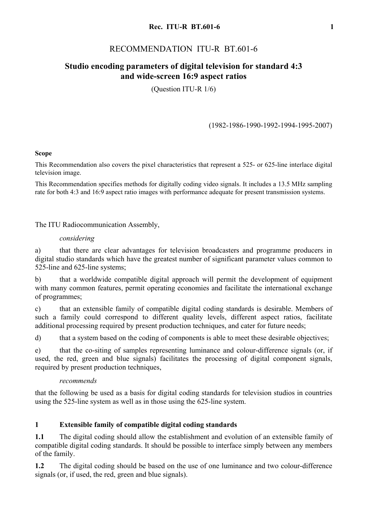# RECOMMENDATION ITU-R BT.601-6

# **Studio encoding parameters of digital television for standard 4:3 and wide-screen 16:9 aspect ratios**

(Question ITU-R 1/6)

## (1982-1986-1990-1992-1994-1995-2007)

## **Scope**

This Recommendation also covers the pixel characteristics that represent a 525- or 625-line interlace digital television image.

This Recommendation specifies methods for digitally coding video signals. It includes a 13.5 MHz sampling rate for both 4:3 and 16:9 aspect ratio images with performance adequate for present transmission systems.

The ITU Radiocommunication Assembly,

## *considering*

a) that there are clear advantages for television broadcasters and programme producers in digital studio standards which have the greatest number of significant parameter values common to 525-line and 625-line systems;

b) that a worldwide compatible digital approach will permit the development of equipment with many common features, permit operating economies and facilitate the international exchange of programmes;

c) that an extensible family of compatible digital coding standards is desirable. Members of such a family could correspond to different quality levels, different aspect ratios, facilitate additional processing required by present production techniques, and cater for future needs;

d) that a system based on the coding of components is able to meet these desirable objectives;

e) that the co-siting of samples representing luminance and colour-difference signals (or, if used, the red, green and blue signals) facilitates the processing of digital component signals, required by present production techniques,

## *recommends*

that the following be used as a basis for digital coding standards for television studios in countries using the 525-line system as well as in those using the 625-line system.

## **1 Extensible family of compatible digital coding standards**

**1.1** The digital coding should allow the establishment and evolution of an extensible family of compatible digital coding standards. It should be possible to interface simply between any members of the family.

**1.2** The digital coding should be based on the use of one luminance and two colour-difference signals (or, if used, the red, green and blue signals).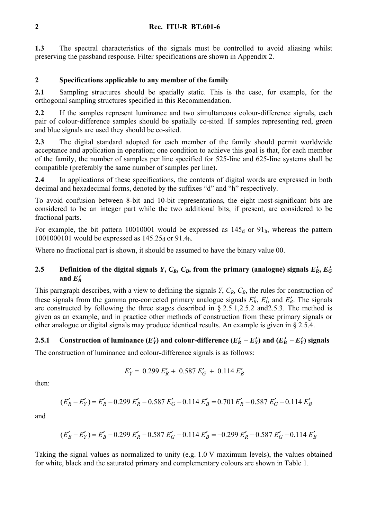**1.3** The spectral characteristics of the signals must be controlled to avoid aliasing whilst preserving the passband response. Filter specifications are shown in Appendix 2.

## **2 Specifications applicable to any member of the family**

**2.1** Sampling structures should be spatially static. This is the case, for example, for the orthogonal sampling structures specified in this Recommendation.

2.2 If the samples represent luminance and two simultaneous colour-difference signals, each pair of colour-difference samples should be spatially co-sited. If samples representing red, green and blue signals are used they should be co-sited.

**2.3** The digital standard adopted for each member of the family should permit worldwide acceptance and application in operation; one condition to achieve this goal is that, for each member of the family, the number of samples per line specified for 525-line and 625-line systems shall be compatible (preferably the same number of samples per line).

**2.4** In applications of these specifications, the contents of digital words are expressed in both decimal and hexadecimal forms, denoted by the suffixes "d" and "h" respectively.

To avoid confusion between 8-bit and 10-bit representations, the eight most-significant bits are considered to be an integer part while the two additional bits, if present, are considered to be fractional parts.

For example, the bit pattern 10010001 would be expressed as  $145<sub>d</sub>$  or  $91<sub>h</sub>$ , whereas the pattern 1001000101 would be expressed as  $145.25_d$  or 91.4h.

Where no fractional part is shown, it should be assumed to have the binary value 00.

## **2.5** Definition of the digital signals *Y*,  $C_R$ ,  $C_B$ , from the primary (analogue) signals  $E_R'$ ,  $E_G'$ and  $E_{B}^{\prime}$

This paragraph describes, with a view to defining the signals  $Y$ ,  $C_R$ ,  $C_B$ , the rules for construction of these signals from the gamma pre-corrected primary analogue signals  $E'_R$ ,  $E'_G$  and  $E'_R$ . The signals are constructed by following the three stages described in § 2.5.1,2.5.2 and2.5.3. The method is given as an example, and in practice other methods of construction from these primary signals or other analogue or digital signals may produce identical results. An example is given in  $\S 2.5.4$ .

## **2.5.1** Construction of luminance  $(E'_Y)$  and colour-difference  $(E'_R - E'_Y)$  and  $(E'_R - E'_Y)$  signals

The construction of luminance and colour-difference signals is as follows:

$$
E'_Y = 0.299 E'_R + 0.587 E'_G + 0.114 E'_B
$$

then:

$$
(E'_R - E'_Y) = E'_R - 0.299 E'_R - 0.587 E'_G - 0.114 E'_B = 0.701 E'_R - 0.587 E'_G - 0.114 E'_B
$$

and

$$
(E'_B - E'_Y) = E'_B - 0.299 E'_R - 0.587 E'_G - 0.114 E'_B = -0.299 E'_R - 0.587 E'_G - 0.114 E'_B
$$

Taking the signal values as normalized to unity (e.g. 1.0 V maximum levels), the values obtained for white, black and the saturated primary and complementary colours are shown in Table 1.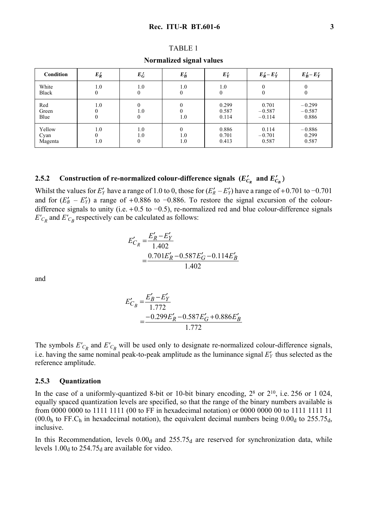|--|--|--|--|--|

**Normalized signal values** 

| <b>Condition</b>          | $E_R'$     | $E_G'$                 | $E_B'$                 | $E'_Y$                  | $E'_R - E'_Y$                 | $E'_B - E'_Y$                 |
|---------------------------|------------|------------------------|------------------------|-------------------------|-------------------------------|-------------------------------|
| White<br>Black            | 1.0        | 1.0<br>0               | 1.0                    | 1.0<br>$\theta$         | 0<br>0                        | 0<br>0                        |
| Red<br>Green<br>Blue      | 1.0        | 0<br>1.0<br>0          | 1.0                    | 0.299<br>0.587<br>0.114 | 0.701<br>$-0.587$<br>$-0.114$ | $-0.299$<br>$-0.587$<br>0.886 |
| Yellow<br>Cyan<br>Magenta | 1.0<br>1.0 | 1.0<br>1.0<br>$\theta$ | $\Omega$<br>1.0<br>1.0 | 0.886<br>0.701<br>0.413 | 0.114<br>$-0.701$<br>0.587    | $-0.886$<br>0.299<br>0.587    |

# 2.5.2 Construction of re-normalized colour-difference signals  $(E'_{C_R}$  and  $E'_{C_B}$ )

Whilst the values for  $E'_Y$  have a range of 1.0 to 0, those for  $(E'_R - E'_Y)$  have a range of +0.701 to -0.701 and for  $(E_B' - E_Y')$  a range of +0.886 to -0.886. To restore the signal excursion of the colourdifference signals to unity (i.e. +0.5 to −0.5), re-normalized red and blue colour-difference signals  $E'_{C_R}$  and  $E'_{C_R}$  respectively can be calculated as follows:

$$
E'_{C_R} = \frac{E'_R - E'_Y}{1.402}
$$
  
= 
$$
\frac{0.701E'_R - 0.587E'_G - 0.114E'_B}{1.402}
$$

and

$$
E'_{C_B} = \frac{E'_B - E'_Y}{1.772}
$$
  
= 
$$
\frac{-0.299E'_R - 0.587E'_G + 0.886E'_B}{1.772}
$$

The symbols  $E'_{C_R}$  and  $E'_{C_R}$  will be used only to designate re-normalized colour-difference signals, i.e. having the same nominal peak-to-peak amplitude as the luminance signal  $E'_Y$  thus selected as the reference amplitude.

#### **2.5.3 Quantization**

In the case of a uniformly-quantized 8-bit or 10-bit binary encoding,  $2^8$  or  $2^{10}$ , i.e. 256 or 1 024, equally spaced quantization levels are specified, so that the range of the binary numbers available is from 0000 0000 to 1111 1111 (00 to FF in hexadecimal notation) or 0000 0000 00 to 1111 1111 11 (00.0<sub>h</sub> to FF.C<sub>h</sub> in hexadecimal notation), the equivalent decimal numbers being  $0.00<sub>d</sub>$  to 255.75<sub>d</sub>, inclusive.

In this Recommendation, levels  $0.00<sub>d</sub>$  and  $255.75<sub>d</sub>$  are reserved for synchronization data, while levels  $1.00<sub>d</sub>$  to 254.75<sub>d</sub> are available for video.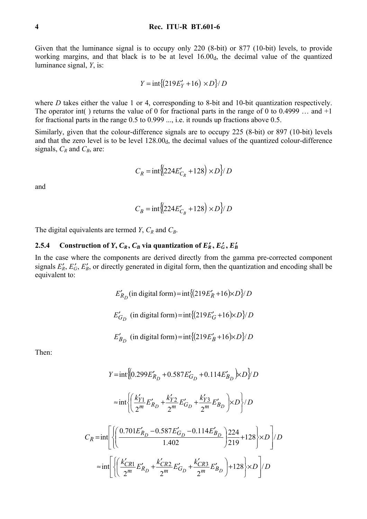Given that the luminance signal is to occupy only 220 (8-bit) or 877 (10-bit) levels, to provide working margins, and that black is to be at level  $16.00<sub>d</sub>$ , the decimal value of the quantized luminance signal, *Y*, is:

$$
Y = \frac{\text{int}\{(219E'_Y + 16) \times D\}}{D}
$$

where *D* takes either the value 1 or 4, corresponding to 8-bit and 10-bit quantization respectively. The operator int() returns the value of 0 for fractional parts in the range of 0 to 0.4999 ... and  $+1$ for fractional parts in the range 0.5 to 0.999 ..., i.e. it rounds up fractions above 0.5.

Similarly, given that the colour-difference signals are to occupy 225 (8-bit) or 897 (10-bit) levels and that the zero level is to be level  $128.00<sub>d</sub>$ , the decimal values of the quantized colour-difference signals,  $C_R$  and  $C_B$ , are:

$$
C_R = \text{int}\left\{224E'_{C_R} + 128\right\} \times D\right\} / D
$$

and

$$
C_B = \text{int}\left\{224E'_{C_B} + 128\right\} \times D\right\} / D
$$

The digital equivalents are termed *Y*,  $C_R$  and  $C_B$ .

### **2.5.4** Construction of *Y*,  $C_R$ ,  $C_B$  via quantization of  $E_R'$ ,  $E_G'$ ,  $E_B'$

In the case where the components are derived directly from the gamma pre-corrected component signals  $E'_R$ ,  $E'_G$ ,  $E'_B$ , or directly generated in digital form, then the quantization and encoding shall be equivalent to:

$$
E'_{R_D}
$$
 (in digital form) = int{ $(219E'_R + 16)\times D$ } $\!/D$   

$$
E'_{G_D}
$$
 (in digital form) = int{ $(219E'_G + 16)\times D$ } $\!/D$   

$$
E'_{B_D}
$$
 (in digital form) = int{ $(219E'_B + 16)\times D$ } $\!/D$ 

Then:

$$
Y = \text{int}\left\{ \left(0.299E'_{R_D} + 0.587E'_{G_D} + 0.114E'_{B_D}\right) \times D\right\} / D
$$
  

$$
\approx \text{int}\left\{ \left(\frac{k'_{Y1}}{2^m}E'_{R_D} + \frac{k'_{Y2}}{2^m}E'_{G_D} + \frac{k'_{Y3}}{2^m}E'_{B_D}\right) \times D\right\} / D
$$
  

$$
C_R = \text{int}\left\{ \left(\frac{0.701E'_{R_D} - 0.587E'_{G_D} - 0.114E'_{B_D}}{1.402}\right) \frac{224}{219} + 128 \times D\right\} / D
$$
  

$$
\approx \text{int}\left\{ \left(\frac{k'_{CR1}}{2^m}E'_{R_D} + \frac{k'_{CR2}}{2^m}E'_{G_D} + \frac{k'_{CR3}}{2^m}E'_{B_D}\right) + 128 \times D\right\} / D
$$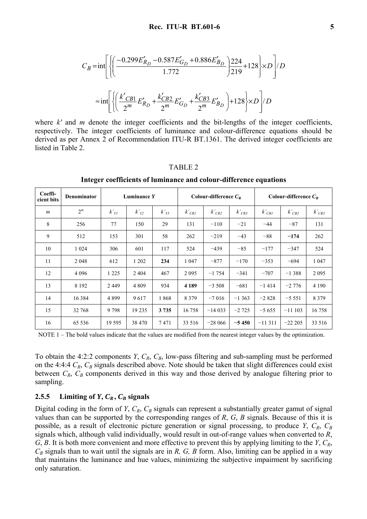$$
C_B = \text{int}\left[ \left\{ \left( \frac{-0.299E'_{R_D} - 0.587E'_{G_D} + 0.886E'_{B_D}}{1.772} \right) \frac{224}{219} + 128 \right\} \times D \right] / D
$$
  

$$
\approx \text{int}\left[ \left\{ \left( \frac{k'_{CB1}}{2^m} E'_{R_D} + \frac{k'_{CB2}}{2^m} E'_{G_D} + \frac{k'_{CB3}}{2^m} E'_{B_D} \right) + 128 \right\} \times D \right] / D
$$

where *k'* and *m* denote the integer coefficients and the bit-lengths of the integer coefficients, respectively. The integer coefficients of luminance and colour-difference equations should be derived as per Annex 2 of Recommendation ITU-R BT.1361. The derived integer coefficients are listed in Table 2.

#### TABLE 2

| Coeffi-<br>cient bits | <b>Denominator</b> | Luminance Y |         | Colour-difference $C_R$ |            | Colour-difference $C_R$ |            |            |            |            |
|-----------------------|--------------------|-------------|---------|-------------------------|------------|-------------------------|------------|------------|------------|------------|
| $\boldsymbol{m}$      | $2^m$              | $k'_{YI}$   | $k'y_2$ | $k'_{Y3}$               | $k'_{CRI}$ | $k'_{CR2}$              | $k'_{CR3}$ | $k'_{CBI}$ | $k'_{CB2}$ | $k'_{CB3}$ |
| 8                     | 256                | 77          | 150     | 29                      | 131        | $-110$                  | $-21$      | $-44$      | $-87$      | 131        |
| 9                     | 512                | 153         | 301     | 58                      | 262        | $-219$                  | $-43$      | $-88$      | $-174$     | 262        |
| 10                    | 1 0 2 4            | 306         | 601     | 117                     | 524        | $-439$                  | $-85$      | $-177$     | $-347$     | 524        |
| 11                    | 2 0 4 8            | 612         | 1 202   | 234                     | 1 0 4 7    | $-877$                  | $-170$     | $-353$     | $-694$     | 1 0 4 7    |
| 12                    | 4 0 9 6            | 1 2 2 5     | 2 4 0 4 | 467                     | 2 0 9 5    | $-1754$                 | $-341$     | $-707$     | $-1.388$   | 2 0 9 5    |
| 13                    | 8 1 9 2            | 2449        | 4 8 0 9 | 934                     | 4 1 8 9    | $-3508$                 | $-681$     | $-1414$    | $-2776$    | 4 1 9 0    |
| 14                    | 16 3 8 4           | 4899        | 9617    | 1868                    | 8 3 7 9    | $-7016$                 | $-1363$    | $-2828$    | $-5551$    | 8 3 7 9    |
| 15                    | 32 768             | 9798        | 19 235  | 3 7 3 5                 | 16758      | $-14033$                | $-2725$    | $-5655$    | $-11103$   | 16758      |
| 16                    | 65 5 36            | 19 5 95     | 38 470  | 7471                    | 33 516     | $-28066$                | $-5450$    | $-11311$   | $-22205$   | 33 516     |

**Integer coefficients of luminance and colour-difference equations** 

NOTE 1 – The bold values indicate that the values are modified from the nearest integer values by the optimization.

To obtain the 4:2:2 components *Y*,  $C_R$ ,  $C_B$ , low-pass filtering and sub-sampling must be performed on the 4:4:4  $C_R$ ,  $C_B$  signals described above. Note should be taken that slight differences could exist between  $C_R$ ,  $C_B$  components derived in this way and those derived by analogue filtering prior to sampling.

## 2.5.5 Limiting of  $Y, C_R, C_B$  signals

Digital coding in the form of *Y*,  $C_R$ ,  $C_B$  signals can represent a substantially greater gamut of signal values than can be supported by the corresponding ranges of *R*, *G*, *B* signals. Because of this it is possible, as a result of electronic picture generation or signal processing, to produce *Y*,  $C_R$ ,  $C_B$ signals which, although valid individually, would result in out-of-range values when converted to *R*, *G*, *B*. It is both more convenient and more effective to prevent this by applying limiting to the *Y*, *CR*,  $C_B$  signals than to wait until the signals are in *R, G, B* form. Also, limiting can be applied in a way that maintains the luminance and hue values, minimizing the subjective impairment by sacrificing only saturation.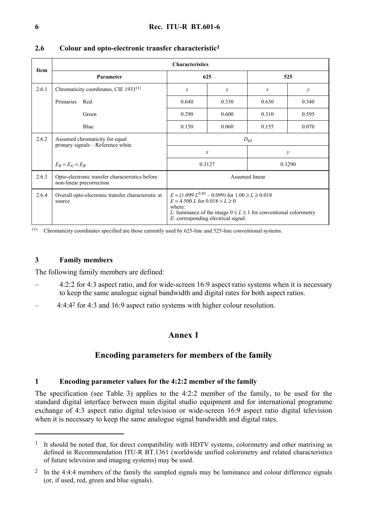|             | <b>Characteristics</b>                                                      |                                                                                                                                                                                                                                |               |               |               |  |  |  |
|-------------|-----------------------------------------------------------------------------|--------------------------------------------------------------------------------------------------------------------------------------------------------------------------------------------------------------------------------|---------------|---------------|---------------|--|--|--|
| <b>Item</b> | Parameter                                                                   | 625                                                                                                                                                                                                                            |               | 525           |               |  |  |  |
| 2.6.1       | Chromaticity coordinates, CIE 1931 <sup>(1)</sup>                           | $\mathcal{X}$                                                                                                                                                                                                                  | $\mathcal{Y}$ | $\mathcal{X}$ | $\mathcal{Y}$ |  |  |  |
|             | Primaries<br>Red                                                            | 0.640                                                                                                                                                                                                                          | 0.330         | 0.630         | 0.340         |  |  |  |
|             | Green                                                                       | 0.290                                                                                                                                                                                                                          | 0.600         | 0.310         | 0.595         |  |  |  |
|             | Blue                                                                        | 0.150                                                                                                                                                                                                                          | 0.060         | 0.155         | 0.070         |  |  |  |
| 2.6.2       | Assumed chromaticity for equal<br>primary signals - Reference white         | $D_{65}$                                                                                                                                                                                                                       |               |               |               |  |  |  |
|             |                                                                             | $\mathcal{X}$                                                                                                                                                                                                                  |               | $\mathcal{Y}$ |               |  |  |  |
|             | $E_R = E_G = E_B$                                                           | 0.3127                                                                                                                                                                                                                         |               | 0.3290        |               |  |  |  |
| 2.6.3       | Opto-electronic transfer characteristics before<br>non-linear precorrection | Assumed linear                                                                                                                                                                                                                 |               |               |               |  |  |  |
| 2.6.4       | Overall opto-electronic transfer characteristic at<br>source                | $E = (1.099 L^{0.45} - 0.099)$ for $1.00 \ge L \ge 0.018$<br>$E = 4.500 L$ for $0.018 > L \ge 0$<br>where:<br>L: luminance of the image $0 \le L \le 1$ for conventional colorimetry<br>$E$ : corresponding electrical signal. |               |               |               |  |  |  |

## **2.6 Colour and opto-electronic transfer characteristic1**

(1) Chromaticity coordinates specified are those currently used by 625-line and 525-line conventional systems.

## **3 Family members**

 $\overline{a}$ 

The following family members are defined:

- 4:2:2 for 4:3 aspect ratio, and for wide-screen 16:9 aspect ratio systems when it is necessary to keep the same analogue signal bandwidth and digital rates for both aspect ratios.
- 4:4:42 for 4:3 and 16:9 aspect ratio systems with higher colour resolution.

## **Annex 1**

## **Encoding parameters for members of the family**

## **1 Encoding parameter values for the 4:2:2 member of the family**

The specification (see Table 3) applies to the 4:2:2 member of the family, to be used for the standard digital interface between main digital studio equipment and for international programme exchange of 4:3 aspect ratio digital television or wide-screen 16:9 aspect ratio digital television when it is necessary to keep the same analogue signal bandwidth and digital rates.

 $1$  It should be noted that, for direct compatibility with HDTV systems, colorimetry and other matrixing as defined in Recommendation ITU-R BT.1361 (worldwide unified colorimetry and related characteristics of future television and imaging systems) may be used.

<sup>&</sup>lt;sup>2</sup> In the 4:4:4 members of the family the sampled signals may be luminance and colour difference signals (or, if used, red, green and blue signals).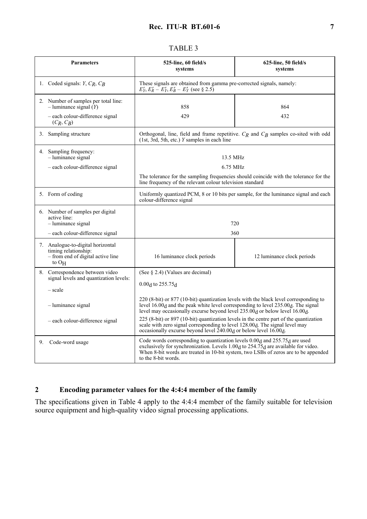#### Parameters 1988 and 525-line, 60 field/s **systems 625-line, 50 field/s systems**  1. Coded signals: *Y*, *CR*, *CB* These signals are obtained from gamma pre-corrected signals, namely:  $E'_Y, E'_R - E'_Y, E'_B - E'_Y$  (see § 2.5) 2. Number of samples per total line: – luminance signal (*Y*) – each colour-difference signal (*CR*, *CB*) 858 429 864 432 3. Sampling structure **Orthogonal**, line, field and frame repetitive. *CR* and *CB* samples co-sited with odd (1st, 3rd, 5th, etc.) *Y* samples in each line 4. Sampling frequency: – luminance signal – each colour-difference signal 13.5 MHz 6.75 MHz The tolerance for the sampling frequencies should coincide with the tolerance for the line frequency of the relevant colour television standard 5. Form of coding Uniformly quantized PCM, 8 or 10 bits per sample, for the luminance signal and each colour-difference signal 6. Number of samples per digital active line: – luminance signal – each colour-difference signal 720 360 7. Analogue-to-digital horizontal timing relationship: – from end of digital active line to OH 16 luminance clock periods 12 luminance clock periods 8. Correspondence between video signal levels and quantization levels: – scale – luminance signal – each colour-difference signal (See § 2.4) (Values are decimal) 0.00d to 255.75d 220 (8-bit) or 877 (10-bit) quantization levels with the black level corresponding to level 16.00<sub>d</sub> and the peak white level corresponding to level 235.00<sub>d</sub>. The signal level may occasionally excurse beyond level  $235.00<sub>d</sub>$  or below level 16.00 $d$ . 225 (8-bit) or 897 (10-bit) quantization levels in the centre part of the quantization scale with zero signal corresponding to level 128.00<sub>d</sub>. The signal level may occasionally excurse beyond level  $240.00<sub>d</sub>$  or below level 16.00 $<sub>d</sub>$ .</sub> 9. Code-word usage Code words corresponding to quantization levels 0.00<sub>d</sub> and 255.75<sub>d</sub> are used exclusively for synchronization. Levels  $1.00<sub>d</sub>$  to  $254.75<sub>d</sub>$  are available for video. When 8-bit words are treated in 10-bit system, two LSBs of zeros are to be appended to the 8-bit words.

## TABLE 3

## **2 Encoding parameter values for the 4:4:4 member of the family**

The specifications given in Table 4 apply to the 4:4:4 member of the family suitable for television source equipment and high-quality video signal processing applications.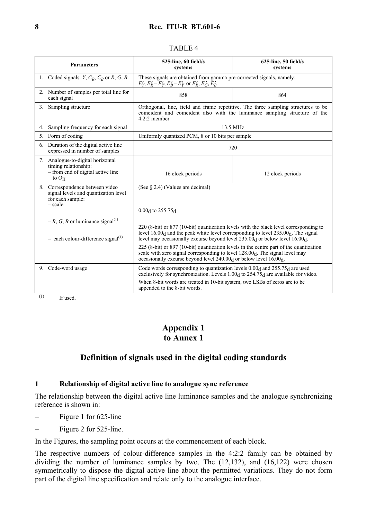### **8 Rec. ITU-R BT.601-6**

| <b>Parameters</b> |                                                                                                              | 525-line, 60 field/s<br>systems                                                                                                                                                                                                                                                                                                                                                                                                                                                                                                                                           | $625$ -line, 50 field/s<br>systems |  |  |  |
|-------------------|--------------------------------------------------------------------------------------------------------------|---------------------------------------------------------------------------------------------------------------------------------------------------------------------------------------------------------------------------------------------------------------------------------------------------------------------------------------------------------------------------------------------------------------------------------------------------------------------------------------------------------------------------------------------------------------------------|------------------------------------|--|--|--|
|                   | 1. Coded signals: $Y, C_R, C_B$ or $R, G, B$                                                                 | These signals are obtained from gamma pre-corrected signals, namely:<br>$E'_Y, E'_R - E'_Y, E'_B - E'_Y$ or $E'_R, E'_G, E'_B$                                                                                                                                                                                                                                                                                                                                                                                                                                            |                                    |  |  |  |
|                   | 2. Number of samples per total line for<br>each signal                                                       | 858<br>864                                                                                                                                                                                                                                                                                                                                                                                                                                                                                                                                                                |                                    |  |  |  |
|                   | 3. Sampling structure                                                                                        | Orthogonal, line, field and frame repetitive. The three sampling structures to be<br>coincident and coincident also with the luminance sampling structure of the<br>$4:2:2$ member                                                                                                                                                                                                                                                                                                                                                                                        |                                    |  |  |  |
| 4.                | Sampling frequency for each signal                                                                           |                                                                                                                                                                                                                                                                                                                                                                                                                                                                                                                                                                           | 13.5 MHz                           |  |  |  |
|                   | 5. Form of coding                                                                                            | Uniformly quantized PCM, 8 or 10 bits per sample                                                                                                                                                                                                                                                                                                                                                                                                                                                                                                                          |                                    |  |  |  |
| 6.                | Duration of the digital active line<br>expressed in number of samples                                        | 720                                                                                                                                                                                                                                                                                                                                                                                                                                                                                                                                                                       |                                    |  |  |  |
|                   | 7. Analogue-to-digital horizontal<br>timing relationship:<br>- from end of digital active line<br>to $O_{H}$ | 16 clock periods                                                                                                                                                                                                                                                                                                                                                                                                                                                                                                                                                          | 12 clock periods                   |  |  |  |
|                   | 8. Correspondence between video<br>signal levels and quantization level<br>for each sample:<br>$- scale$     | (See $\S$ 2.4) (Values are decimal)<br>$0.00d$ to 255.75 $d$                                                                                                                                                                                                                                                                                                                                                                                                                                                                                                              |                                    |  |  |  |
|                   | $-R$ , G, B or luminance signal <sup>(1)</sup><br>$-$ each colour-difference signal <sup>(1)</sup>           | 220 (8-bit) or 877 (10-bit) quantization levels with the black level corresponding to<br>level 16.00 <sub>d</sub> and the peak white level corresponding to level 235.00 <sub>d</sub> . The signal<br>level may occasionally excurse beyond level $235.00d$ or below level 16.00 $d$ .<br>225 (8-bit) or 897 (10-bit) quantization levels in the centre part of the quantization<br>scale with zero signal corresponding to level 128.00 <sub>d</sub> . The signal level may<br>occasionally excurse beyond level 240.00 <sub>d</sub> or below level 16.00 <sub>d</sub> . |                                    |  |  |  |
| (1)               | 9. Code-word usage<br>If used.                                                                               | Code words corresponding to quantization levels 0.00 <sub>d</sub> and 255.75 <sub>d</sub> are used<br>exclusively for synchronization. Levels 1.00 <sub>d</sub> to 254.75 <sub>d</sub> are available for video.<br>When 8-bit words are treated in 10-bit system, two LSBs of zeros are to be<br>appended to the 8-bit words.                                                                                                                                                                                                                                             |                                    |  |  |  |

#### TABLE 4

## **Appendix 1 to Annex 1**

## **Definition of signals used in the digital coding standards**

## **1 Relationship of digital active line to analogue sync reference**

The relationship between the digital active line luminance samples and the analogue synchronizing reference is shown in:

- Figure 1 for 625-line
- Figure 2 for 525-line.

In the Figures, the sampling point occurs at the commencement of each block.

The respective numbers of colour-difference samples in the 4:2:2 family can be obtained by dividing the number of luminance samples by two. The (12,132), and (16,122) were chosen symmetrically to dispose the digital active line about the permitted variations. They do not form part of the digital line specification and relate only to the analogue interface.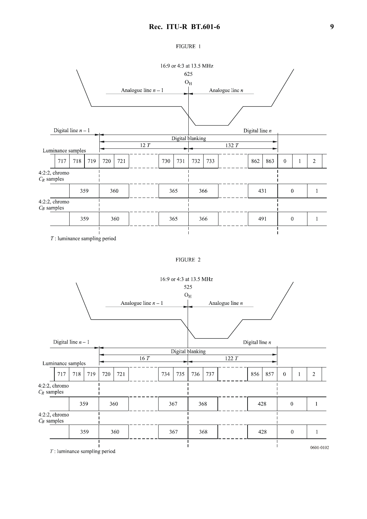#### FIGURE 1



FIGURE 2

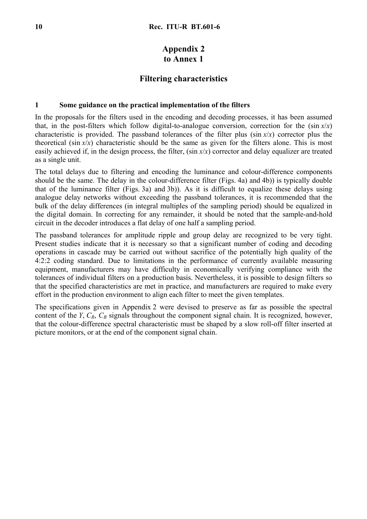# **Appendix 2 to Annex 1**

## **Filtering characteristics**

#### **1 Some guidance on the practical implementation of the filters**

In the proposals for the filters used in the encoding and decoding processes, it has been assumed that, in the post-filters which follow digital-to-analogue conversion, correction for the  $(\sin x/x)$ characteristic is provided. The passband tolerances of the filter plus (sin *x*/*x*) corrector plus the theoretical (sin  $x/x$ ) characteristic should be the same as given for the filters alone. This is most easily achieved if, in the design process, the filter, (sin *x*/*x*) corrector and delay equalizer are treated as a single unit.

The total delays due to filtering and encoding the luminance and colour-difference components should be the same. The delay in the colour-difference filter (Figs. 4a) and 4b)) is typically double that of the luminance filter (Figs. 3a) and 3b)). As it is difficult to equalize these delays using analogue delay networks without exceeding the passband tolerances, it is recommended that the bulk of the delay differences (in integral multiples of the sampling period) should be equalized in the digital domain. In correcting for any remainder, it should be noted that the sample-and-hold circuit in the decoder introduces a flat delay of one half a sampling period.

The passband tolerances for amplitude ripple and group delay are recognized to be very tight. Present studies indicate that it is necessary so that a significant number of coding and decoding operations in cascade may be carried out without sacrifice of the potentially high quality of the 4:2:2 coding standard. Due to limitations in the performance of currently available measuring equipment, manufacturers may have difficulty in economically verifying compliance with the tolerances of individual filters on a production basis. Nevertheless, it is possible to design filters so that the specified characteristics are met in practice, and manufacturers are required to make every effort in the production environment to align each filter to meet the given templates.

The specifications given in Appendix 2 were devised to preserve as far as possible the spectral content of the *Y*,  $C_R$ ,  $C_B$  signals throughout the component signal chain. It is recognized, however, that the colour-difference spectral characteristic must be shaped by a slow roll-off filter inserted at picture monitors, or at the end of the component signal chain.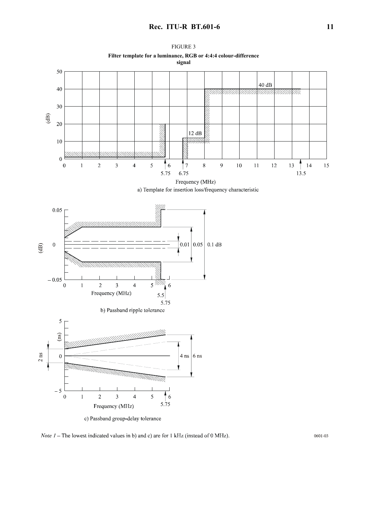

*Note 1* – The lowest indicated values in b) and c) are for 1 kHz (instead of 0 MHz).

0601-03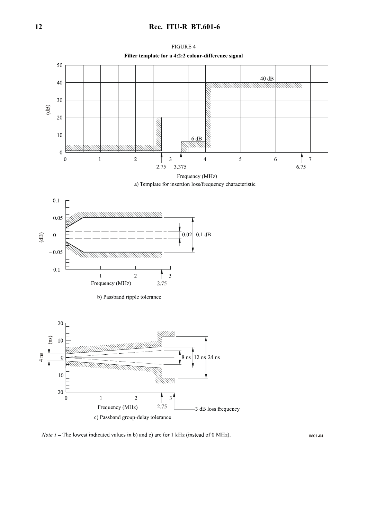## **12 Rec. ITU-R BT.601-6**



*Note 1* – The lowest indicated values in b) and c) are for 1 kHz (instead of 0 MHz).

0601-04